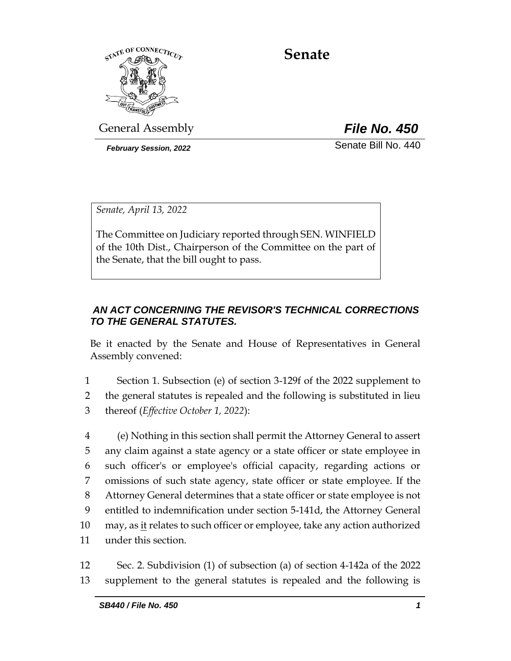

**Senate**

General Assembly *File No. 450*

*February Session, 2022* Senate Bill No. 440

*Senate, April 13, 2022*

The Committee on Judiciary reported through SEN. WINFIELD of the 10th Dist., Chairperson of the Committee on the part of the Senate, that the bill ought to pass.

# *AN ACT CONCERNING THE REVISOR'S TECHNICAL CORRECTIONS TO THE GENERAL STATUTES.*

Be it enacted by the Senate and House of Representatives in General Assembly convened:

1 Section 1. Subsection (e) of section 3-129f of the 2022 supplement to 2 the general statutes is repealed and the following is substituted in lieu 3 thereof (*Effective October 1, 2022*):

 (e) Nothing in this section shall permit the Attorney General to assert any claim against a state agency or a state officer or state employee in such officer's or employee's official capacity, regarding actions or omissions of such state agency, state officer or state employee. If the Attorney General determines that a state officer or state employee is not entitled to indemnification under section 5-141d, the Attorney General 10 may, as it relates to such officer or employee, take any action authorized under this section.

12 Sec. 2. Subdivision (1) of subsection (a) of section 4-142a of the 2022 13 supplement to the general statutes is repealed and the following is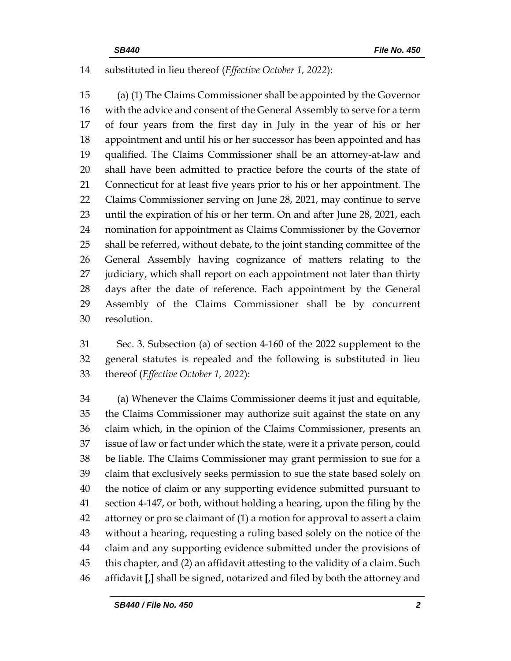## substituted in lieu thereof (*Effective October 1, 2022*):

 (a) (1) The Claims Commissioner shall be appointed by the Governor with the advice and consent of the General Assembly to serve for a term of four years from the first day in July in the year of his or her appointment and until his or her successor has been appointed and has qualified. The Claims Commissioner shall be an attorney-at-law and shall have been admitted to practice before the courts of the state of Connecticut for at least five years prior to his or her appointment. The Claims Commissioner serving on June 28, 2021, may continue to serve until the expiration of his or her term. On and after June 28, 2021, each nomination for appointment as Claims Commissioner by the Governor shall be referred, without debate, to the joint standing committee of the General Assembly having cognizance of matters relating to the 27 judiciary, which shall report on each appointment not later than thirty days after the date of reference. Each appointment by the General Assembly of the Claims Commissioner shall be by concurrent resolution.

 Sec. 3. Subsection (a) of section 4-160 of the 2022 supplement to the general statutes is repealed and the following is substituted in lieu thereof (*Effective October 1, 2022*):

 (a) Whenever the Claims Commissioner deems it just and equitable, the Claims Commissioner may authorize suit against the state on any claim which, in the opinion of the Claims Commissioner, presents an issue of law or fact under which the state, were it a private person, could be liable. The Claims Commissioner may grant permission to sue for a claim that exclusively seeks permission to sue the state based solely on the notice of claim or any supporting evidence submitted pursuant to section 4-147, or both, without holding a hearing, upon the filing by the attorney or pro se claimant of (1) a motion for approval to assert a claim without a hearing, requesting a ruling based solely on the notice of the claim and any supporting evidence submitted under the provisions of this chapter, and (2) an affidavit attesting to the validity of a claim. Such affidavit **[**,**]** shall be signed, notarized and filed by both the attorney and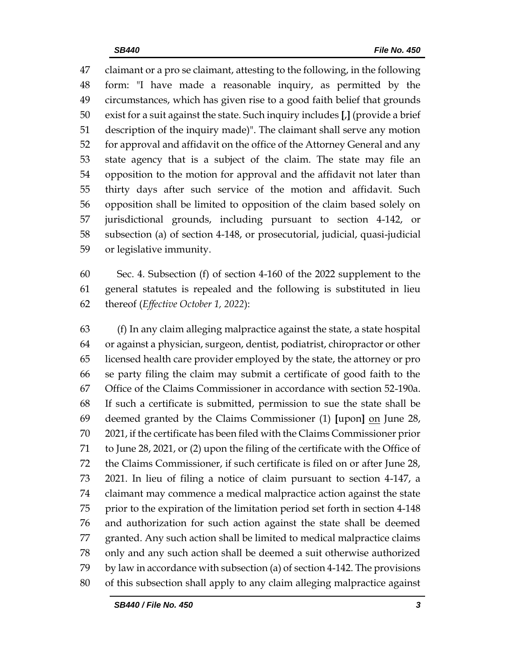claimant or a pro se claimant, attesting to the following, in the following form: "I have made a reasonable inquiry, as permitted by the circumstances, which has given rise to a good faith belief that grounds exist for a suit against the state. Such inquiry includes **[**,**]** (provide a brief description of the inquiry made)". The claimant shall serve any motion for approval and affidavit on the office of the Attorney General and any state agency that is a subject of the claim. The state may file an opposition to the motion for approval and the affidavit not later than thirty days after such service of the motion and affidavit. Such opposition shall be limited to opposition of the claim based solely on jurisdictional grounds, including pursuant to section 4-142, or subsection (a) of section 4-148, or prosecutorial, judicial, quasi-judicial or legislative immunity.

 Sec. 4. Subsection (f) of section 4-160 of the 2022 supplement to the general statutes is repealed and the following is substituted in lieu thereof (*Effective October 1, 2022*):

 (f) In any claim alleging malpractice against the state, a state hospital or against a physician, surgeon, dentist, podiatrist, chiropractor or other licensed health care provider employed by the state, the attorney or pro se party filing the claim may submit a certificate of good faith to the Office of the Claims Commissioner in accordance with section 52-190a. If such a certificate is submitted, permission to sue the state shall be deemed granted by the Claims Commissioner (1) **[**upon**]** on June 28, 2021, if the certificate has been filed with the Claims Commissioner prior to June 28, 2021, or (2) upon the filing of the certificate with the Office of the Claims Commissioner, if such certificate is filed on or after June 28, 2021. In lieu of filing a notice of claim pursuant to section 4-147, a claimant may commence a medical malpractice action against the state prior to the expiration of the limitation period set forth in section 4-148 and authorization for such action against the state shall be deemed granted. Any such action shall be limited to medical malpractice claims only and any such action shall be deemed a suit otherwise authorized by law in accordance with subsection (a) of section 4-142. The provisions of this subsection shall apply to any claim alleging malpractice against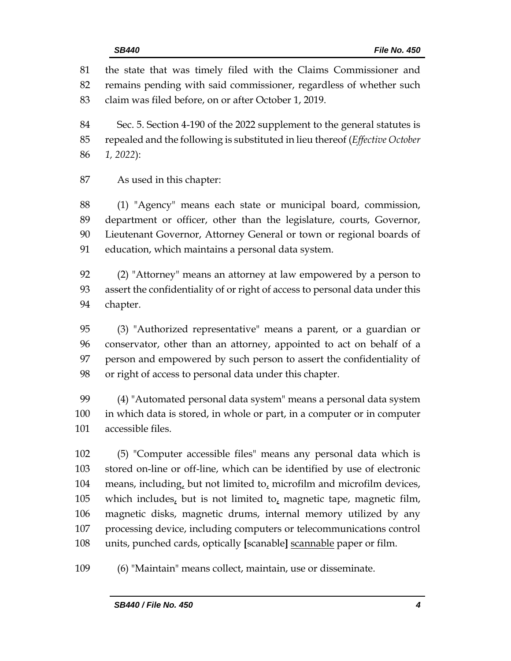the state that was timely filed with the Claims Commissioner and remains pending with said commissioner, regardless of whether such claim was filed before, on or after October 1, 2019. Sec. 5. Section 4-190 of the 2022 supplement to the general statutes is repealed and the following is substituted in lieu thereof (*Effective October 1, 2022*): As used in this chapter: (1) "Agency" means each state or municipal board, commission, department or officer, other than the legislature, courts, Governor, Lieutenant Governor, Attorney General or town or regional boards of education, which maintains a personal data system. (2) "Attorney" means an attorney at law empowered by a person to assert the confidentiality of or right of access to personal data under this chapter. (3) "Authorized representative" means a parent, or a guardian or conservator, other than an attorney, appointed to act on behalf of a person and empowered by such person to assert the confidentiality of or right of access to personal data under this chapter. (4) "Automated personal data system" means a personal data system in which data is stored, in whole or part, in a computer or in computer accessible files.

 (5) "Computer accessible files" means any personal data which is stored on-line or off-line, which can be identified by use of electronic means, including, but not limited to, microfilm and microfilm devices, 105 which includes, but is not limited to, magnetic tape, magnetic film, magnetic disks, magnetic drums, internal memory utilized by any processing device, including computers or telecommunications control units, punched cards, optically **[**scanable**]** scannable paper or film.

(6) "Maintain" means collect, maintain, use or disseminate.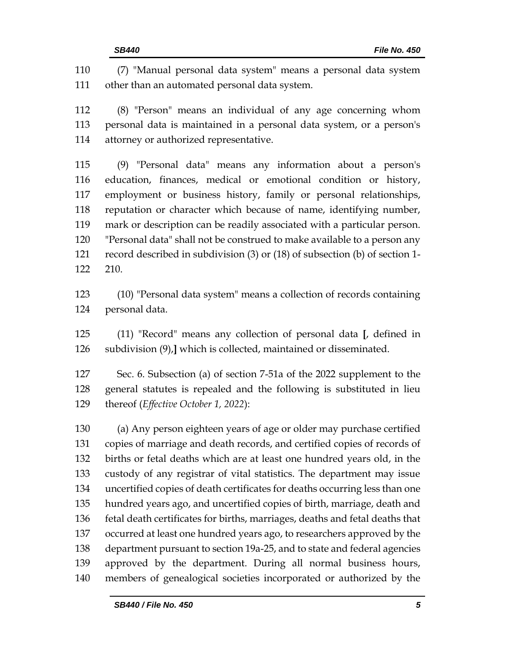(7) "Manual personal data system" means a personal data system other than an automated personal data system. (8) "Person" means an individual of any age concerning whom personal data is maintained in a personal data system, or a person's attorney or authorized representative. (9) "Personal data" means any information about a person's education, finances, medical or emotional condition or history, employment or business history, family or personal relationships, reputation or character which because of name, identifying number, mark or description can be readily associated with a particular person. "Personal data" shall not be construed to make available to a person any record described in subdivision (3) or (18) of subsection (b) of section 1- 210. (10) "Personal data system" means a collection of records containing personal data.

 (11) "Record" means any collection of personal data **[**, defined in subdivision (9),**]** which is collected, maintained or disseminated.

 Sec. 6. Subsection (a) of section 7-51a of the 2022 supplement to the general statutes is repealed and the following is substituted in lieu thereof (*Effective October 1, 2022*):

 (a) Any person eighteen years of age or older may purchase certified copies of marriage and death records, and certified copies of records of births or fetal deaths which are at least one hundred years old, in the custody of any registrar of vital statistics. The department may issue uncertified copies of death certificates for deaths occurring less than one hundred years ago, and uncertified copies of birth, marriage, death and fetal death certificates for births, marriages, deaths and fetal deaths that occurred at least one hundred years ago, to researchers approved by the department pursuant to section 19a-25, and to state and federal agencies approved by the department. During all normal business hours, members of genealogical societies incorporated or authorized by the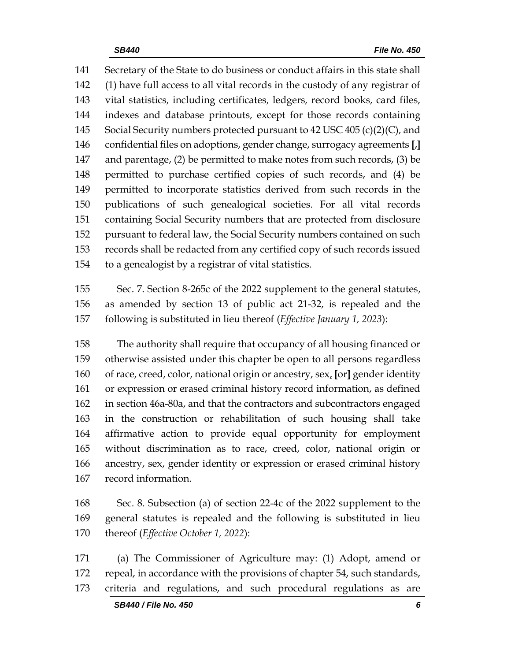Secretary of the State to do business or conduct affairs in this state shall (1) have full access to all vital records in the custody of any registrar of vital statistics, including certificates, ledgers, record books, card files, indexes and database printouts, except for those records containing 145 Social Security numbers protected pursuant to 42 USC 405 (c)(2)(C), and confidential files on adoptions, gender change, surrogacy agreements **[**,**]** and parentage, (2) be permitted to make notes from such records, (3) be permitted to purchase certified copies of such records, and (4) be permitted to incorporate statistics derived from such records in the publications of such genealogical societies. For all vital records containing Social Security numbers that are protected from disclosure pursuant to federal law, the Social Security numbers contained on such records shall be redacted from any certified copy of such records issued to a genealogist by a registrar of vital statistics.

 Sec. 7. Section 8-265c of the 2022 supplement to the general statutes, as amended by section 13 of public act 21-32, is repealed and the following is substituted in lieu thereof (*Effective January 1, 2023*):

 The authority shall require that occupancy of all housing financed or otherwise assisted under this chapter be open to all persons regardless of race, creed, color, national origin or ancestry, sex, **[**or**]** gender identity or expression or erased criminal history record information, as defined in section 46a-80a, and that the contractors and subcontractors engaged in the construction or rehabilitation of such housing shall take affirmative action to provide equal opportunity for employment without discrimination as to race, creed, color, national origin or ancestry, sex, gender identity or expression or erased criminal history record information.

 Sec. 8. Subsection (a) of section 22-4c of the 2022 supplement to the general statutes is repealed and the following is substituted in lieu thereof (*Effective October 1, 2022*):

 (a) The Commissioner of Agriculture may: (1) Adopt, amend or repeal, in accordance with the provisions of chapter 54, such standards, criteria and regulations, and such procedural regulations as are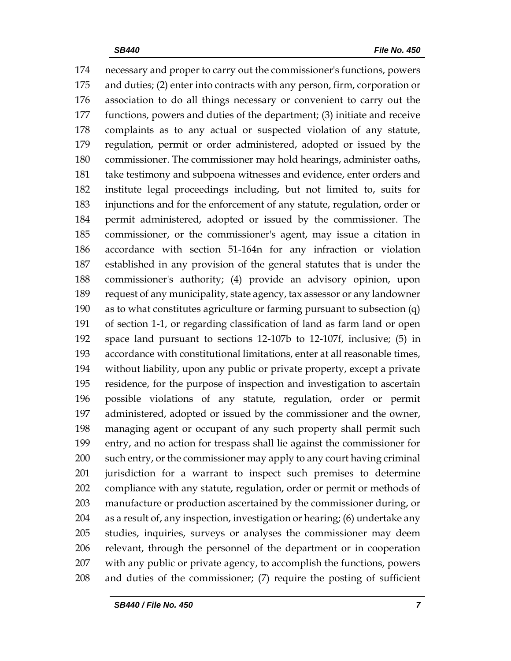necessary and proper to carry out the commissioner's functions, powers and duties; (2) enter into contracts with any person, firm, corporation or association to do all things necessary or convenient to carry out the functions, powers and duties of the department; (3) initiate and receive complaints as to any actual or suspected violation of any statute, regulation, permit or order administered, adopted or issued by the commissioner. The commissioner may hold hearings, administer oaths, take testimony and subpoena witnesses and evidence, enter orders and institute legal proceedings including, but not limited to, suits for injunctions and for the enforcement of any statute, regulation, order or permit administered, adopted or issued by the commissioner. The commissioner, or the commissioner's agent, may issue a citation in accordance with section 51-164n for any infraction or violation established in any provision of the general statutes that is under the commissioner's authority; (4) provide an advisory opinion, upon request of any municipality, state agency, tax assessor or any landowner as to what constitutes agriculture or farming pursuant to subsection (q) of section 1-1, or regarding classification of land as farm land or open space land pursuant to sections 12-107b to 12-107f, inclusive; (5) in accordance with constitutional limitations, enter at all reasonable times, without liability, upon any public or private property, except a private residence, for the purpose of inspection and investigation to ascertain possible violations of any statute, regulation, order or permit administered, adopted or issued by the commissioner and the owner, managing agent or occupant of any such property shall permit such entry, and no action for trespass shall lie against the commissioner for such entry, or the commissioner may apply to any court having criminal jurisdiction for a warrant to inspect such premises to determine compliance with any statute, regulation, order or permit or methods of manufacture or production ascertained by the commissioner during, or as a result of, any inspection, investigation or hearing; (6) undertake any studies, inquiries, surveys or analyses the commissioner may deem relevant, through the personnel of the department or in cooperation with any public or private agency, to accomplish the functions, powers and duties of the commissioner; (7) require the posting of sufficient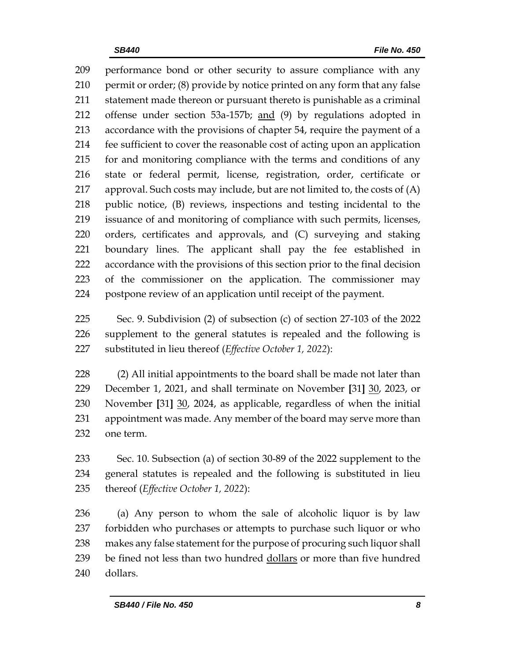performance bond or other security to assure compliance with any permit or order; (8) provide by notice printed on any form that any false statement made thereon or pursuant thereto is punishable as a criminal offense under section 53a-157b; and (9) by regulations adopted in accordance with the provisions of chapter 54, require the payment of a fee sufficient to cover the reasonable cost of acting upon an application for and monitoring compliance with the terms and conditions of any state or federal permit, license, registration, order, certificate or approval. Such costs may include, but are not limited to, the costs of (A) public notice, (B) reviews, inspections and testing incidental to the issuance of and monitoring of compliance with such permits, licenses, orders, certificates and approvals, and (C) surveying and staking boundary lines. The applicant shall pay the fee established in accordance with the provisions of this section prior to the final decision of the commissioner on the application. The commissioner may postpone review of an application until receipt of the payment.

 Sec. 9. Subdivision (2) of subsection (c) of section 27-103 of the 2022 supplement to the general statutes is repealed and the following is substituted in lieu thereof (*Effective October 1, 2022*):

 (2) All initial appointments to the board shall be made not later than December 1, 2021, and shall terminate on November **[**31**]** 30, 2023, or November **[**31**]** 30, 2024, as applicable, regardless of when the initial appointment was made. Any member of the board may serve more than one term.

 Sec. 10. Subsection (a) of section 30-89 of the 2022 supplement to the general statutes is repealed and the following is substituted in lieu thereof (*Effective October 1, 2022*):

 (a) Any person to whom the sale of alcoholic liquor is by law forbidden who purchases or attempts to purchase such liquor or who makes any false statement for the purpose of procuring such liquor shall be fined not less than two hundred dollars or more than five hundred dollars.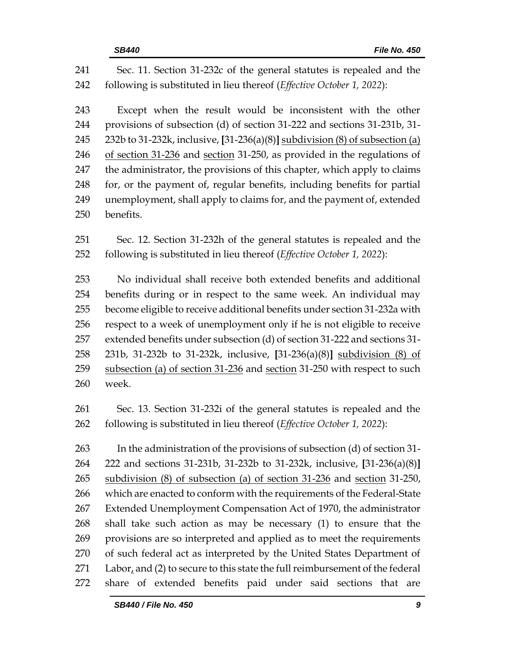| 241 | Sec. 11. Section 31-232c of the general statutes is repealed and the           |  |  |  |
|-----|--------------------------------------------------------------------------------|--|--|--|
| 242 | following is substituted in lieu thereof (Effective October 1, 2022):          |  |  |  |
| 243 | Except when the result would be inconsistent with the other                    |  |  |  |
| 244 | provisions of subsection (d) of section 31-222 and sections 31-231b, 31-       |  |  |  |
| 245 | 232b to 31-232k, inclusive, [31-236(a)(8)] subdivision (8) of subsection (a)   |  |  |  |
| 246 | of section 31-236 and section 31-250, as provided in the regulations of        |  |  |  |
| 247 | the administrator, the provisions of this chapter, which apply to claims       |  |  |  |
| 248 | for, or the payment of, regular benefits, including benefits for partial       |  |  |  |
| 249 | unemployment, shall apply to claims for, and the payment of, extended          |  |  |  |
| 250 | benefits.                                                                      |  |  |  |
| 251 | Sec. 12. Section 31-232h of the general statutes is repealed and the           |  |  |  |
| 252 | following is substituted in lieu thereof (Effective October 1, 2022):          |  |  |  |
| 253 | No individual shall receive both extended benefits and additional              |  |  |  |
| 254 | benefits during or in respect to the same week. An individual may              |  |  |  |
| 255 | become eligible to receive additional benefits under section 31-232a with      |  |  |  |
| 256 | respect to a week of unemployment only if he is not eligible to receive        |  |  |  |
| 257 | extended benefits under subsection (d) of section 31-222 and sections 31-      |  |  |  |
| 258 | 231b, 31-232b to 31-232k, inclusive, [31-236(a)(8)] subdivision (8) of         |  |  |  |
| 259 | subsection (a) of section 31-236 and section 31-250 with respect to such       |  |  |  |
| 260 | week.                                                                          |  |  |  |
| 261 | Sec. 13. Section 31-232i of the general statutes is repealed and the           |  |  |  |
| 262 | following is substituted in lieu thereof (Effective October 1, 2022):          |  |  |  |
| 263 | In the administration of the provisions of subsection (d) of section 31-       |  |  |  |
| 264 | 222 and sections 31-231b, 31-232b to 31-232k, inclusive, [31-236(a)(8)]        |  |  |  |
| 265 | subdivision (8) of subsection (a) of section 31-236 and section 31-250,        |  |  |  |
| 266 | which are enacted to conform with the requirements of the Federal-State        |  |  |  |
| 267 | Extended Unemployment Compensation Act of 1970, the administrator              |  |  |  |
| 268 | shall take such action as may be necessary $(1)$ to ensure that the            |  |  |  |
| 269 | provisions are so interpreted and applied as to meet the requirements          |  |  |  |
| 270 | of such federal act as interpreted by the United States Department of          |  |  |  |
| 271 | Labor, and $(2)$ to secure to this state the full reimbursement of the federal |  |  |  |
| 272 | share of extended benefits paid under said sections<br>that<br>are             |  |  |  |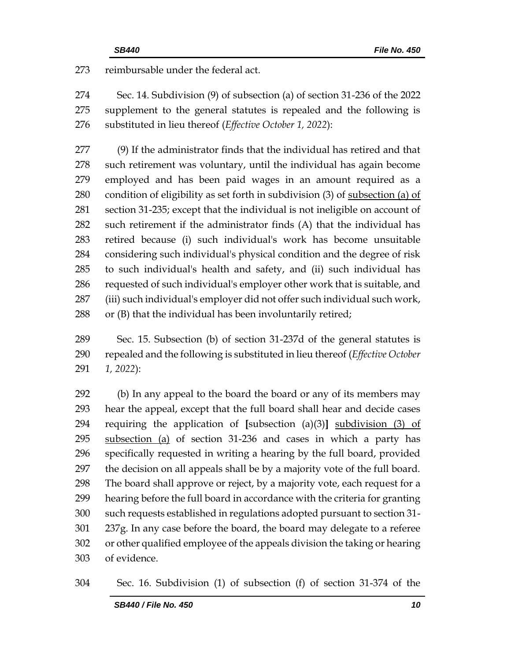273 reimbursable under the federal act.

 Sec. 14. Subdivision (9) of subsection (a) of section 31-236 of the 2022 supplement to the general statutes is repealed and the following is substituted in lieu thereof (*Effective October 1, 2022*):

 (9) If the administrator finds that the individual has retired and that such retirement was voluntary, until the individual has again become employed and has been paid wages in an amount required as a 280 condition of eligibility as set forth in subdivision (3) of subsection (a) of section 31-235; except that the individual is not ineligible on account of such retirement if the administrator finds (A) that the individual has retired because (i) such individual's work has become unsuitable considering such individual's physical condition and the degree of risk to such individual's health and safety, and (ii) such individual has requested of such individual's employer other work that is suitable, and (iii) such individual's employer did not offer such individual such work, 288 or (B) that the individual has been involuntarily retired;

 Sec. 15. Subsection (b) of section 31-237d of the general statutes is repealed and the following is substituted in lieu thereof (*Effective October 1, 2022*):

 (b) In any appeal to the board the board or any of its members may hear the appeal, except that the full board shall hear and decide cases requiring the application of **[**subsection (a)(3)**]** subdivision (3) of 295 subsection (a) of section 31-236 and cases in which a party has specifically requested in writing a hearing by the full board, provided the decision on all appeals shall be by a majority vote of the full board. The board shall approve or reject, by a majority vote, each request for a hearing before the full board in accordance with the criteria for granting such requests established in regulations adopted pursuant to section 31- 237g. In any case before the board, the board may delegate to a referee or other qualified employee of the appeals division the taking or hearing of evidence.

Sec. 16. Subdivision (1) of subsection (f) of section 31-374 of the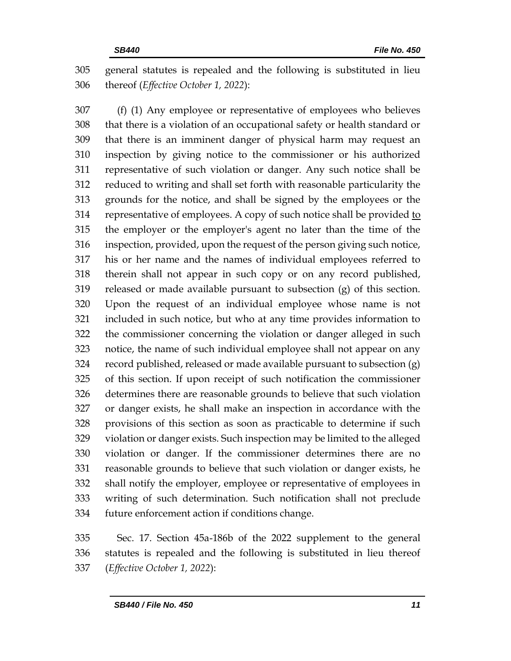general statutes is repealed and the following is substituted in lieu thereof (*Effective October 1, 2022*):

 (f) (1) Any employee or representative of employees who believes that there is a violation of an occupational safety or health standard or that there is an imminent danger of physical harm may request an inspection by giving notice to the commissioner or his authorized representative of such violation or danger. Any such notice shall be reduced to writing and shall set forth with reasonable particularity the grounds for the notice, and shall be signed by the employees or the 314 representative of employees. A copy of such notice shall be provided to the employer or the employer's agent no later than the time of the inspection, provided, upon the request of the person giving such notice, his or her name and the names of individual employees referred to therein shall not appear in such copy or on any record published, released or made available pursuant to subsection (g) of this section. Upon the request of an individual employee whose name is not included in such notice, but who at any time provides information to the commissioner concerning the violation or danger alleged in such notice, the name of such individual employee shall not appear on any record published, released or made available pursuant to subsection (g) of this section. If upon receipt of such notification the commissioner determines there are reasonable grounds to believe that such violation or danger exists, he shall make an inspection in accordance with the provisions of this section as soon as practicable to determine if such violation or danger exists. Such inspection may be limited to the alleged violation or danger. If the commissioner determines there are no reasonable grounds to believe that such violation or danger exists, he shall notify the employer, employee or representative of employees in writing of such determination. Such notification shall not preclude future enforcement action if conditions change.

 Sec. 17. Section 45a-186b of the 2022 supplement to the general statutes is repealed and the following is substituted in lieu thereof (*Effective October 1, 2022*):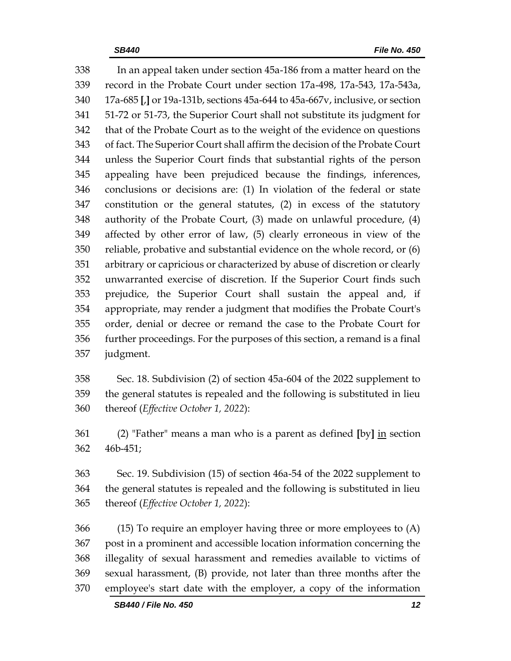In an appeal taken under section 45a-186 from a matter heard on the record in the Probate Court under section 17a-498, 17a-543, 17a-543a, 17a-685 **[**,**]** or 19a-131b, sections 45a-644 to 45a-667v, inclusive, or section 51-72 or 51-73, the Superior Court shall not substitute its judgment for that of the Probate Court as to the weight of the evidence on questions of fact. The Superior Court shall affirm the decision of the Probate Court unless the Superior Court finds that substantial rights of the person appealing have been prejudiced because the findings, inferences, conclusions or decisions are: (1) In violation of the federal or state constitution or the general statutes, (2) in excess of the statutory authority of the Probate Court, (3) made on unlawful procedure, (4) affected by other error of law, (5) clearly erroneous in view of the reliable, probative and substantial evidence on the whole record, or (6) arbitrary or capricious or characterized by abuse of discretion or clearly unwarranted exercise of discretion. If the Superior Court finds such prejudice, the Superior Court shall sustain the appeal and, if appropriate, may render a judgment that modifies the Probate Court's order, denial or decree or remand the case to the Probate Court for further proceedings. For the purposes of this section, a remand is a final judgment.

 Sec. 18. Subdivision (2) of section 45a-604 of the 2022 supplement to the general statutes is repealed and the following is substituted in lieu thereof (*Effective October 1, 2022*):

 (2) "Father" means a man who is a parent as defined **[**by**]** in section 46b-451;

 Sec. 19. Subdivision (15) of section 46a-54 of the 2022 supplement to the general statutes is repealed and the following is substituted in lieu thereof (*Effective October 1, 2022*):

 (15) To require an employer having three or more employees to (A) post in a prominent and accessible location information concerning the illegality of sexual harassment and remedies available to victims of sexual harassment, (B) provide, not later than three months after the employee's start date with the employer, a copy of the information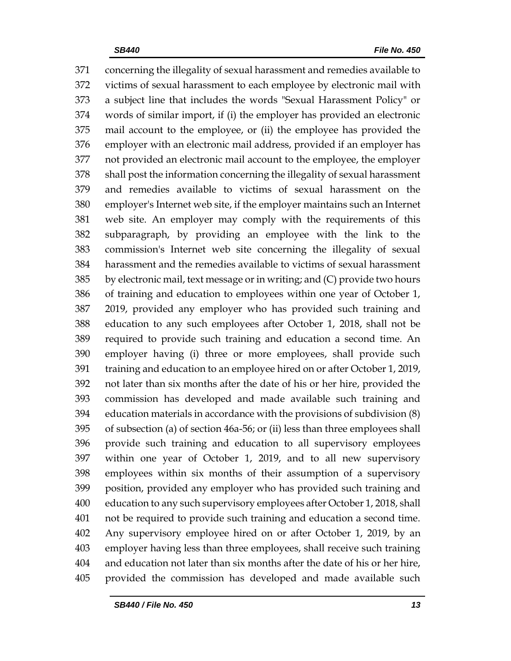concerning the illegality of sexual harassment and remedies available to victims of sexual harassment to each employee by electronic mail with a subject line that includes the words "Sexual Harassment Policy" or words of similar import, if (i) the employer has provided an electronic mail account to the employee, or (ii) the employee has provided the employer with an electronic mail address, provided if an employer has not provided an electronic mail account to the employee, the employer shall post the information concerning the illegality of sexual harassment and remedies available to victims of sexual harassment on the employer's Internet web site, if the employer maintains such an Internet web site. An employer may comply with the requirements of this subparagraph, by providing an employee with the link to the commission's Internet web site concerning the illegality of sexual harassment and the remedies available to victims of sexual harassment by electronic mail, text message or in writing; and (C) provide two hours of training and education to employees within one year of October 1, 2019, provided any employer who has provided such training and education to any such employees after October 1, 2018, shall not be required to provide such training and education a second time. An employer having (i) three or more employees, shall provide such training and education to an employee hired on or after October 1, 2019, not later than six months after the date of his or her hire, provided the commission has developed and made available such training and education materials in accordance with the provisions of subdivision (8) of subsection (a) of section 46a-56; or (ii) less than three employees shall provide such training and education to all supervisory employees within one year of October 1, 2019, and to all new supervisory employees within six months of their assumption of a supervisory position, provided any employer who has provided such training and education to any such supervisory employees after October 1, 2018, shall not be required to provide such training and education a second time. Any supervisory employee hired on or after October 1, 2019, by an employer having less than three employees, shall receive such training and education not later than six months after the date of his or her hire, provided the commission has developed and made available such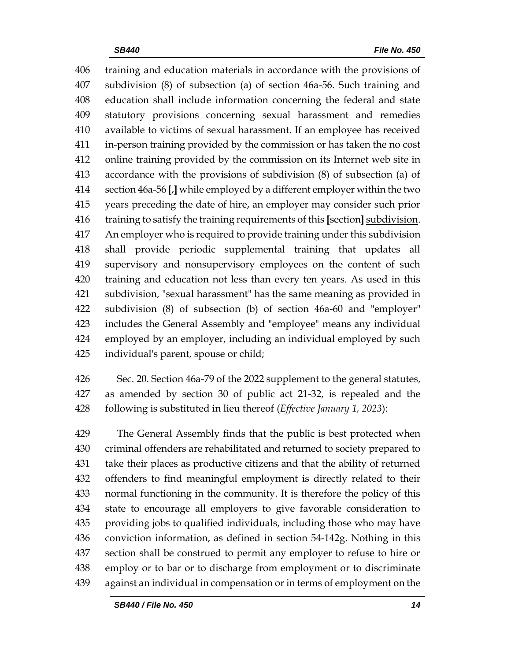training and education materials in accordance with the provisions of subdivision (8) of subsection (a) of section 46a-56. Such training and education shall include information concerning the federal and state statutory provisions concerning sexual harassment and remedies available to victims of sexual harassment. If an employee has received in-person training provided by the commission or has taken the no cost online training provided by the commission on its Internet web site in accordance with the provisions of subdivision (8) of subsection (a) of section 46a-56 **[**,**]** while employed by a different employer within the two years preceding the date of hire, an employer may consider such prior training to satisfy the training requirements of this **[**section**]** subdivision. An employer who is required to provide training under this subdivision shall provide periodic supplemental training that updates all supervisory and nonsupervisory employees on the content of such training and education not less than every ten years. As used in this subdivision, "sexual harassment" has the same meaning as provided in subdivision (8) of subsection (b) of section 46a-60 and "employer" includes the General Assembly and "employee" means any individual employed by an employer, including an individual employed by such individual's parent, spouse or child;

 Sec. 20. Section 46a-79 of the 2022 supplement to the general statutes, as amended by section 30 of public act 21-32, is repealed and the following is substituted in lieu thereof (*Effective January 1, 2023*):

 The General Assembly finds that the public is best protected when criminal offenders are rehabilitated and returned to society prepared to take their places as productive citizens and that the ability of returned offenders to find meaningful employment is directly related to their normal functioning in the community. It is therefore the policy of this state to encourage all employers to give favorable consideration to providing jobs to qualified individuals, including those who may have conviction information, as defined in section 54-142g. Nothing in this section shall be construed to permit any employer to refuse to hire or employ or to bar or to discharge from employment or to discriminate against an individual in compensation or in terms of employment on the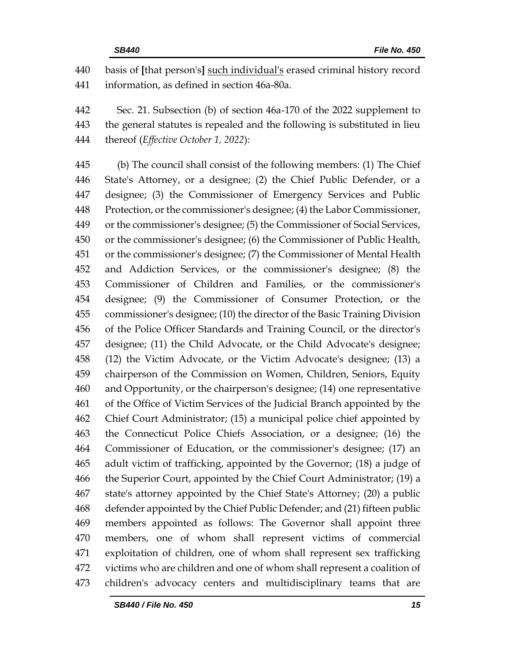basis of **[**that person's**]** such individual's erased criminal history record information, as defined in section 46a-80a.

 Sec. 21. Subsection (b) of section 46a-170 of the 2022 supplement to the general statutes is repealed and the following is substituted in lieu thereof (*Effective October 1, 2022*):

 (b) The council shall consist of the following members: (1) The Chief State's Attorney, or a designee; (2) the Chief Public Defender, or a designee; (3) the Commissioner of Emergency Services and Public Protection, or the commissioner's designee; (4) the Labor Commissioner, or the commissioner's designee; (5) the Commissioner of Social Services, or the commissioner's designee; (6) the Commissioner of Public Health, or the commissioner's designee; (7) the Commissioner of Mental Health and Addiction Services, or the commissioner's designee; (8) the Commissioner of Children and Families, or the commissioner's designee; (9) the Commissioner of Consumer Protection, or the commissioner's designee; (10) the director of the Basic Training Division of the Police Officer Standards and Training Council, or the director's designee; (11) the Child Advocate, or the Child Advocate's designee; (12) the Victim Advocate, or the Victim Advocate's designee; (13) a chairperson of the Commission on Women, Children, Seniors, Equity and Opportunity, or the chairperson's designee; (14) one representative of the Office of Victim Services of the Judicial Branch appointed by the Chief Court Administrator; (15) a municipal police chief appointed by the Connecticut Police Chiefs Association, or a designee; (16) the Commissioner of Education, or the commissioner's designee; (17) an adult victim of trafficking, appointed by the Governor; (18) a judge of the Superior Court, appointed by the Chief Court Administrator; (19) a state's attorney appointed by the Chief State's Attorney; (20) a public defender appointed by the Chief Public Defender; and (21) fifteen public members appointed as follows: The Governor shall appoint three members, one of whom shall represent victims of commercial exploitation of children, one of whom shall represent sex trafficking victims who are children and one of whom shall represent a coalition of children's advocacy centers and multidisciplinary teams that are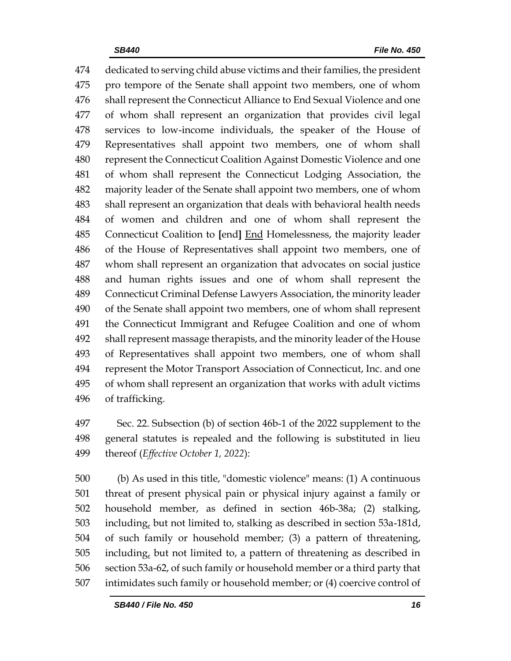dedicated to serving child abuse victims and their families, the president pro tempore of the Senate shall appoint two members, one of whom shall represent the Connecticut Alliance to End Sexual Violence and one of whom shall represent an organization that provides civil legal services to low-income individuals, the speaker of the House of Representatives shall appoint two members, one of whom shall represent the Connecticut Coalition Against Domestic Violence and one of whom shall represent the Connecticut Lodging Association, the majority leader of the Senate shall appoint two members, one of whom shall represent an organization that deals with behavioral health needs of women and children and one of whom shall represent the Connecticut Coalition to **[**end**]** End Homelessness, the majority leader of the House of Representatives shall appoint two members, one of whom shall represent an organization that advocates on social justice and human rights issues and one of whom shall represent the Connecticut Criminal Defense Lawyers Association, the minority leader of the Senate shall appoint two members, one of whom shall represent the Connecticut Immigrant and Refugee Coalition and one of whom shall represent massage therapists, and the minority leader of the House of Representatives shall appoint two members, one of whom shall represent the Motor Transport Association of Connecticut, Inc. and one of whom shall represent an organization that works with adult victims of trafficking.

 Sec. 22. Subsection (b) of section 46b-1 of the 2022 supplement to the general statutes is repealed and the following is substituted in lieu thereof (*Effective October 1, 2022*):

 (b) As used in this title, "domestic violence" means: (1) A continuous threat of present physical pain or physical injury against a family or household member, as defined in section 46b-38a; (2) stalking, including, but not limited to, stalking as described in section 53a-181d, of such family or household member; (3) a pattern of threatening, including, but not limited to, a pattern of threatening as described in section 53a-62, of such family or household member or a third party that intimidates such family or household member; or (4) coercive control of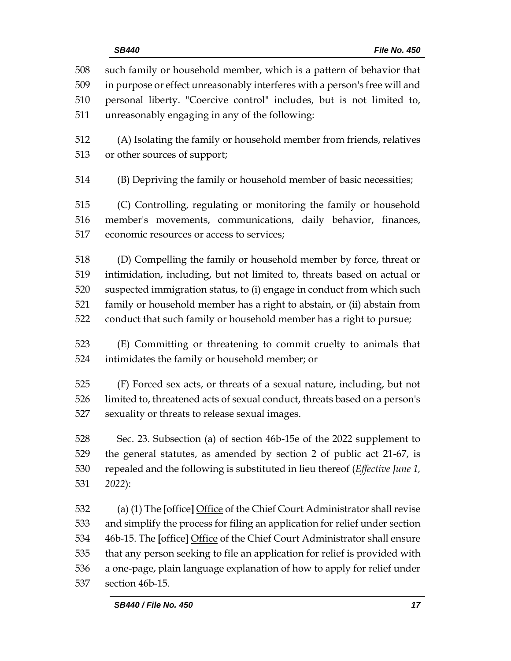| 508<br>509<br>510 | such family or household member, which is a pattern of behavior that<br>in purpose or effect unreasonably interferes with a person's free will and<br>personal liberty. "Coercive control" includes, but is not limited to, |  |  |  |
|-------------------|-----------------------------------------------------------------------------------------------------------------------------------------------------------------------------------------------------------------------------|--|--|--|
| 511               | unreasonably engaging in any of the following:                                                                                                                                                                              |  |  |  |
| 512               | (A) Isolating the family or household member from friends, relatives                                                                                                                                                        |  |  |  |
| 513               | or other sources of support;                                                                                                                                                                                                |  |  |  |
| 514               | (B) Depriving the family or household member of basic necessities;                                                                                                                                                          |  |  |  |
| 515               | (C) Controlling, regulating or monitoring the family or household                                                                                                                                                           |  |  |  |
| 516               | member's movements, communications, daily behavior, finances,                                                                                                                                                               |  |  |  |
| 517               | economic resources or access to services;                                                                                                                                                                                   |  |  |  |
| 518               | (D) Compelling the family or household member by force, threat or                                                                                                                                                           |  |  |  |
| 519               | intimidation, including, but not limited to, threats based on actual or                                                                                                                                                     |  |  |  |
| 520               | suspected immigration status, to (i) engage in conduct from which such                                                                                                                                                      |  |  |  |
| 521               | family or household member has a right to abstain, or (ii) abstain from                                                                                                                                                     |  |  |  |
| 522               | conduct that such family or household member has a right to pursue;                                                                                                                                                         |  |  |  |
| 523               | (E) Committing or threatening to commit cruelty to animals that                                                                                                                                                             |  |  |  |
| 524               | intimidates the family or household member; or                                                                                                                                                                              |  |  |  |
| 525               | (F) Forced sex acts, or threats of a sexual nature, including, but not                                                                                                                                                      |  |  |  |
| 526               | limited to, threatened acts of sexual conduct, threats based on a person's                                                                                                                                                  |  |  |  |
| 527               | sexuality or threats to release sexual images.                                                                                                                                                                              |  |  |  |
| 528               | Sec. 23. Subsection (a) of section 46b-15e of the 2022 supplement to                                                                                                                                                        |  |  |  |
| 529               | the general statutes, as amended by section 2 of public act 21-67, is                                                                                                                                                       |  |  |  |
| 530               | repealed and the following is substituted in lieu thereof ( <i>Effective June 1</i> ,                                                                                                                                       |  |  |  |
| 531               | 2022):                                                                                                                                                                                                                      |  |  |  |
| 532               | (a) (1) The [office] Office of the Chief Court Administrator shall revise                                                                                                                                                   |  |  |  |
| 533               | and simplify the process for filing an application for relief under section                                                                                                                                                 |  |  |  |
| 534               | 46b-15. The [office] Office of the Chief Court Administrator shall ensure                                                                                                                                                   |  |  |  |
| 535               | that any person seeking to file an application for relief is provided with                                                                                                                                                  |  |  |  |
| 536               | a one-page, plain language explanation of how to apply for relief under                                                                                                                                                     |  |  |  |

section 46b-15.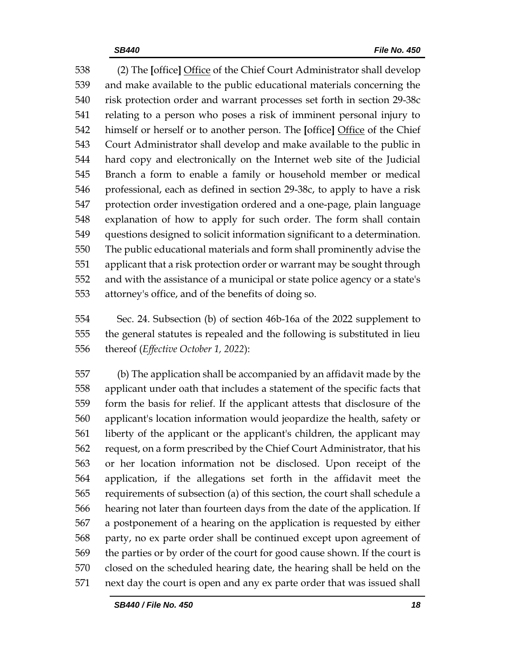(2) The **[**office**]** Office of the Chief Court Administrator shall develop and make available to the public educational materials concerning the risk protection order and warrant processes set forth in section 29-38c relating to a person who poses a risk of imminent personal injury to himself or herself or to another person. The **[**office**]** Office of the Chief Court Administrator shall develop and make available to the public in hard copy and electronically on the Internet web site of the Judicial Branch a form to enable a family or household member or medical professional, each as defined in section 29-38c, to apply to have a risk protection order investigation ordered and a one-page, plain language explanation of how to apply for such order. The form shall contain questions designed to solicit information significant to a determination. The public educational materials and form shall prominently advise the applicant that a risk protection order or warrant may be sought through and with the assistance of a municipal or state police agency or a state's attorney's office, and of the benefits of doing so.

 Sec. 24. Subsection (b) of section 46b-16a of the 2022 supplement to the general statutes is repealed and the following is substituted in lieu thereof (*Effective October 1, 2022*):

 (b) The application shall be accompanied by an affidavit made by the applicant under oath that includes a statement of the specific facts that form the basis for relief. If the applicant attests that disclosure of the applicant's location information would jeopardize the health, safety or liberty of the applicant or the applicant's children, the applicant may request, on a form prescribed by the Chief Court Administrator, that his or her location information not be disclosed. Upon receipt of the application, if the allegations set forth in the affidavit meet the requirements of subsection (a) of this section, the court shall schedule a hearing not later than fourteen days from the date of the application. If a postponement of a hearing on the application is requested by either party, no ex parte order shall be continued except upon agreement of the parties or by order of the court for good cause shown. If the court is closed on the scheduled hearing date, the hearing shall be held on the next day the court is open and any ex parte order that was issued shall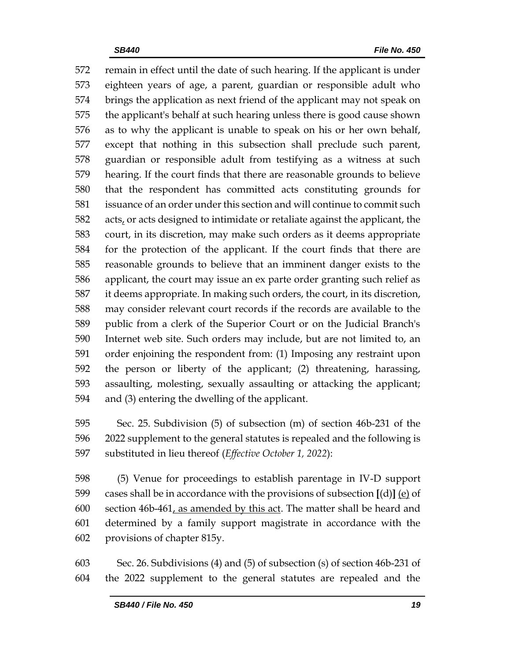remain in effect until the date of such hearing. If the applicant is under eighteen years of age, a parent, guardian or responsible adult who brings the application as next friend of the applicant may not speak on the applicant's behalf at such hearing unless there is good cause shown as to why the applicant is unable to speak on his or her own behalf, except that nothing in this subsection shall preclude such parent, guardian or responsible adult from testifying as a witness at such hearing. If the court finds that there are reasonable grounds to believe that the respondent has committed acts constituting grounds for issuance of an order under this section and will continue to commit such acts, or acts designed to intimidate or retaliate against the applicant, the court, in its discretion, may make such orders as it deems appropriate for the protection of the applicant. If the court finds that there are reasonable grounds to believe that an imminent danger exists to the applicant, the court may issue an ex parte order granting such relief as it deems appropriate. In making such orders, the court, in its discretion, may consider relevant court records if the records are available to the public from a clerk of the Superior Court or on the Judicial Branch's Internet web site. Such orders may include, but are not limited to, an order enjoining the respondent from: (1) Imposing any restraint upon the person or liberty of the applicant; (2) threatening, harassing, assaulting, molesting, sexually assaulting or attacking the applicant; and (3) entering the dwelling of the applicant.

 Sec. 25. Subdivision (5) of subsection (m) of section 46b-231 of the 2022 supplement to the general statutes is repealed and the following is substituted in lieu thereof (*Effective October 1, 2022*):

 (5) Venue for proceedings to establish parentage in IV-D support cases shall be in accordance with the provisions of subsection **[**(d)**]** (e) of 600 section  $46b-461$ , as amended by this act. The matter shall be heard and determined by a family support magistrate in accordance with the provisions of chapter 815y.

 Sec. 26. Subdivisions (4) and (5) of subsection (s) of section 46b-231 of the 2022 supplement to the general statutes are repealed and the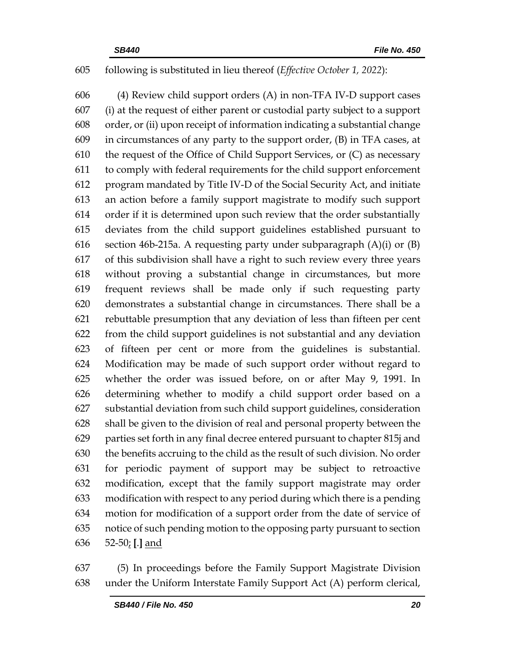### following is substituted in lieu thereof (*Effective October 1, 2022*):

 (4) Review child support orders (A) in non-TFA IV-D support cases (i) at the request of either parent or custodial party subject to a support order, or (ii) upon receipt of information indicating a substantial change in circumstances of any party to the support order, (B) in TFA cases, at the request of the Office of Child Support Services, or (C) as necessary to comply with federal requirements for the child support enforcement program mandated by Title IV-D of the Social Security Act, and initiate an action before a family support magistrate to modify such support order if it is determined upon such review that the order substantially deviates from the child support guidelines established pursuant to 616 section 46b-215a. A requesting party under subparagraph  $(A)(i)$  or  $(B)$  of this subdivision shall have a right to such review every three years without proving a substantial change in circumstances, but more frequent reviews shall be made only if such requesting party demonstrates a substantial change in circumstances. There shall be a rebuttable presumption that any deviation of less than fifteen per cent from the child support guidelines is not substantial and any deviation of fifteen per cent or more from the guidelines is substantial. Modification may be made of such support order without regard to whether the order was issued before, on or after May 9, 1991. In determining whether to modify a child support order based on a substantial deviation from such child support guidelines, consideration shall be given to the division of real and personal property between the parties set forth in any final decree entered pursuant to chapter 815j and the benefits accruing to the child as the result of such division. No order for periodic payment of support may be subject to retroactive modification, except that the family support magistrate may order modification with respect to any period during which there is a pending motion for modification of a support order from the date of service of notice of such pending motion to the opposing party pursuant to section 52-50; **[**.**]** and

 (5) In proceedings before the Family Support Magistrate Division under the Uniform Interstate Family Support Act (A) perform clerical,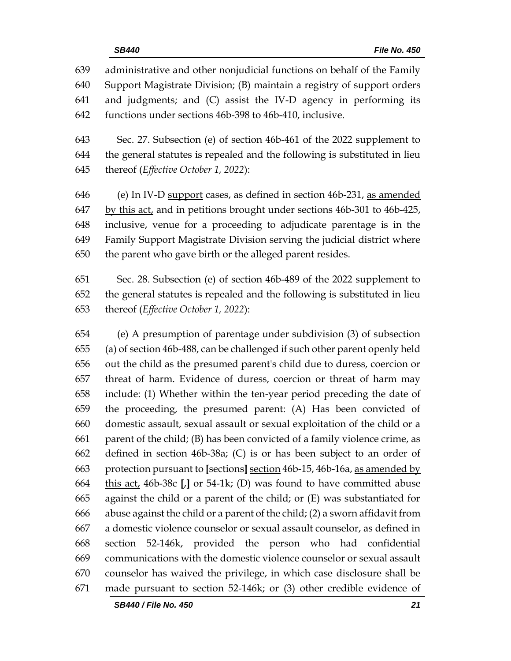administrative and other nonjudicial functions on behalf of the Family Support Magistrate Division; (B) maintain a registry of support orders and judgments; and (C) assist the IV-D agency in performing its functions under sections 46b-398 to 46b-410, inclusive.

 Sec. 27. Subsection (e) of section 46b-461 of the 2022 supplement to the general statutes is repealed and the following is substituted in lieu thereof (*Effective October 1, 2022*):

 (e) In IV-D support cases, as defined in section 46b-231, as amended by this act, and in petitions brought under sections 46b-301 to 46b-425, inclusive, venue for a proceeding to adjudicate parentage is in the Family Support Magistrate Division serving the judicial district where the parent who gave birth or the alleged parent resides.

 Sec. 28. Subsection (e) of section 46b-489 of the 2022 supplement to the general statutes is repealed and the following is substituted in lieu thereof (*Effective October 1, 2022*):

 (e) A presumption of parentage under subdivision (3) of subsection (a) of section 46b-488, can be challenged if such other parent openly held out the child as the presumed parent's child due to duress, coercion or threat of harm. Evidence of duress, coercion or threat of harm may include: (1) Whether within the ten-year period preceding the date of the proceeding, the presumed parent: (A) Has been convicted of domestic assault, sexual assault or sexual exploitation of the child or a parent of the child; (B) has been convicted of a family violence crime, as defined in section 46b-38a; (C) is or has been subject to an order of protection pursuant to **[**sections**]** section 46b-15, 46b-16a, as amended by this act, 46b-38c **[**,**]** or 54-1k; (D) was found to have committed abuse against the child or a parent of the child; or (E) was substantiated for abuse against the child or a parent of the child; (2) a sworn affidavit from a domestic violence counselor or sexual assault counselor, as defined in section 52-146k, provided the person who had confidential communications with the domestic violence counselor or sexual assault counselor has waived the privilege, in which case disclosure shall be made pursuant to section 52-146k; or (3) other credible evidence of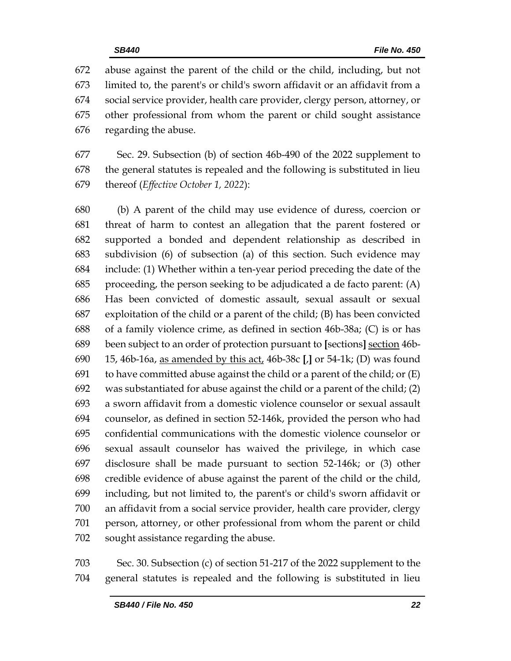abuse against the parent of the child or the child, including, but not limited to, the parent's or child's sworn affidavit or an affidavit from a social service provider, health care provider, clergy person, attorney, or other professional from whom the parent or child sought assistance regarding the abuse.

 Sec. 29. Subsection (b) of section 46b-490 of the 2022 supplement to the general statutes is repealed and the following is substituted in lieu thereof (*Effective October 1, 2022*):

 (b) A parent of the child may use evidence of duress, coercion or threat of harm to contest an allegation that the parent fostered or supported a bonded and dependent relationship as described in subdivision (6) of subsection (a) of this section. Such evidence may include: (1) Whether within a ten-year period preceding the date of the proceeding, the person seeking to be adjudicated a de facto parent: (A) Has been convicted of domestic assault, sexual assault or sexual exploitation of the child or a parent of the child; (B) has been convicted of a family violence crime, as defined in section 46b-38a; (C) is or has been subject to an order of protection pursuant to **[**sections**]** section 46b- 15, 46b-16a, as amended by this act, 46b-38c **[**,**]** or 54-1k; (D) was found 691 to have committed abuse against the child or a parent of the child; or  $(E)$  was substantiated for abuse against the child or a parent of the child; (2) a sworn affidavit from a domestic violence counselor or sexual assault counselor, as defined in section 52-146k, provided the person who had confidential communications with the domestic violence counselor or sexual assault counselor has waived the privilege, in which case disclosure shall be made pursuant to section 52-146k; or (3) other credible evidence of abuse against the parent of the child or the child, including, but not limited to, the parent's or child's sworn affidavit or an affidavit from a social service provider, health care provider, clergy person, attorney, or other professional from whom the parent or child sought assistance regarding the abuse.

 Sec. 30. Subsection (c) of section 51-217 of the 2022 supplement to the general statutes is repealed and the following is substituted in lieu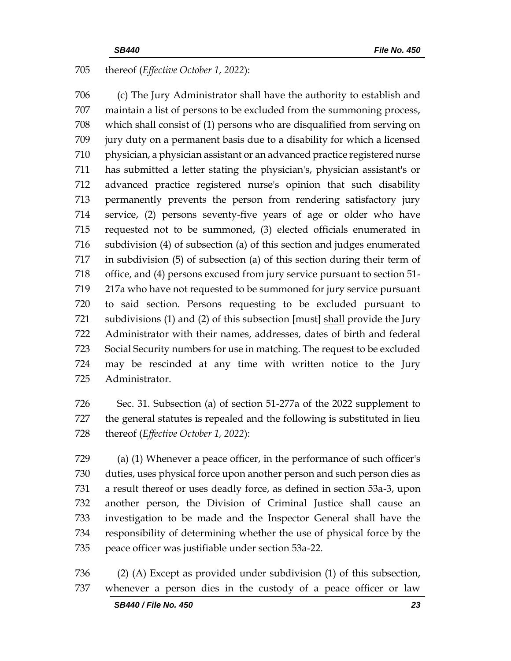## thereof (*Effective October 1, 2022*):

 (c) The Jury Administrator shall have the authority to establish and maintain a list of persons to be excluded from the summoning process, which shall consist of (1) persons who are disqualified from serving on jury duty on a permanent basis due to a disability for which a licensed physician, a physician assistant or an advanced practice registered nurse has submitted a letter stating the physician's, physician assistant's or advanced practice registered nurse's opinion that such disability permanently prevents the person from rendering satisfactory jury service, (2) persons seventy-five years of age or older who have requested not to be summoned, (3) elected officials enumerated in subdivision (4) of subsection (a) of this section and judges enumerated in subdivision (5) of subsection (a) of this section during their term of office, and (4) persons excused from jury service pursuant to section 51- 217a who have not requested to be summoned for jury service pursuant to said section. Persons requesting to be excluded pursuant to subdivisions (1) and (2) of this subsection **[**must**]** shall provide the Jury Administrator with their names, addresses, dates of birth and federal Social Security numbers for use in matching. The request to be excluded may be rescinded at any time with written notice to the Jury Administrator.

 Sec. 31. Subsection (a) of section 51-277a of the 2022 supplement to the general statutes is repealed and the following is substituted in lieu thereof (*Effective October 1, 2022*):

 (a) (1) Whenever a peace officer, in the performance of such officer's duties, uses physical force upon another person and such person dies as a result thereof or uses deadly force, as defined in section 53a-3, upon another person, the Division of Criminal Justice shall cause an investigation to be made and the Inspector General shall have the responsibility of determining whether the use of physical force by the peace officer was justifiable under section 53a-22.

 (2) (A) Except as provided under subdivision (1) of this subsection, whenever a person dies in the custody of a peace officer or law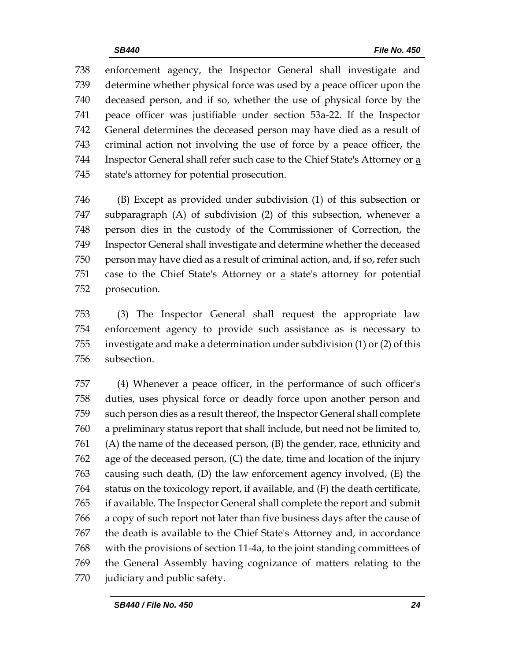enforcement agency, the Inspector General shall investigate and determine whether physical force was used by a peace officer upon the deceased person, and if so, whether the use of physical force by the peace officer was justifiable under section 53a-22. If the Inspector General determines the deceased person may have died as a result of criminal action not involving the use of force by a peace officer, the 744 Inspector General shall refer such case to the Chief State's Attorney or a state's attorney for potential prosecution.

 (B) Except as provided under subdivision (1) of this subsection or subparagraph (A) of subdivision (2) of this subsection, whenever a person dies in the custody of the Commissioner of Correction, the Inspector General shall investigate and determine whether the deceased person may have died as a result of criminal action, and, if so, refer such 751 case to the Chief State's Attorney or a state's attorney for potential prosecution.

 (3) The Inspector General shall request the appropriate law enforcement agency to provide such assistance as is necessary to investigate and make a determination under subdivision (1) or (2) of this subsection.

 (4) Whenever a peace officer, in the performance of such officer's duties, uses physical force or deadly force upon another person and such person dies as a result thereof, the Inspector General shall complete a preliminary status report that shall include, but need not be limited to, (A) the name of the deceased person, (B) the gender, race, ethnicity and age of the deceased person, (C) the date, time and location of the injury causing such death, (D) the law enforcement agency involved, (E) the status on the toxicology report, if available, and (F) the death certificate, if available. The Inspector General shall complete the report and submit a copy of such report not later than five business days after the cause of the death is available to the Chief State's Attorney and, in accordance with the provisions of section 11-4a, to the joint standing committees of the General Assembly having cognizance of matters relating to the judiciary and public safety.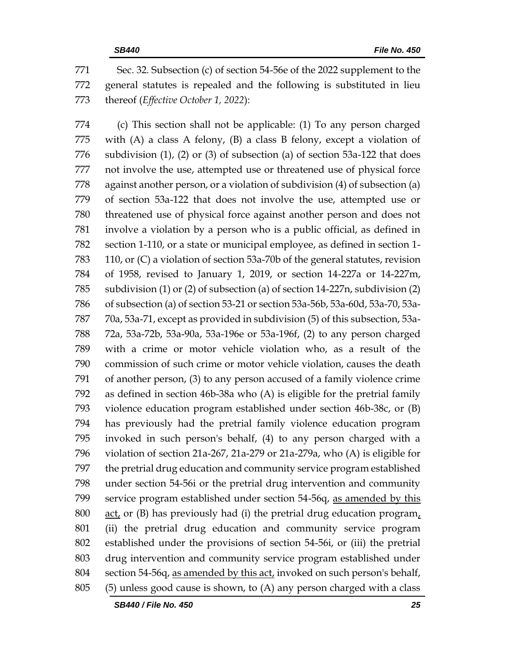Sec. 32. Subsection (c) of section 54-56e of the 2022 supplement to the general statutes is repealed and the following is substituted in lieu thereof (*Effective October 1, 2022*):

 (c) This section shall not be applicable: (1) To any person charged with (A) a class A felony, (B) a class B felony, except a violation of subdivision (1), (2) or (3) of subsection (a) of section 53a-122 that does not involve the use, attempted use or threatened use of physical force against another person, or a violation of subdivision (4) of subsection (a) of section 53a-122 that does not involve the use, attempted use or threatened use of physical force against another person and does not involve a violation by a person who is a public official, as defined in section 1-110, or a state or municipal employee, as defined in section 1- 110, or (C) a violation of section 53a-70b of the general statutes, revision of 1958, revised to January 1, 2019, or section 14-227a or 14-227m, subdivision (1) or (2) of subsection (a) of section 14-227n, subdivision (2) of subsection (a) of section 53-21 or section 53a-56b, 53a-60d, 53a-70, 53a- 70a, 53a-71, except as provided in subdivision (5) of this subsection, 53a- 72a, 53a-72b, 53a-90a, 53a-196e or 53a-196f, (2) to any person charged with a crime or motor vehicle violation who, as a result of the commission of such crime or motor vehicle violation, causes the death of another person, (3) to any person accused of a family violence crime as defined in section 46b-38a who (A) is eligible for the pretrial family violence education program established under section 46b-38c, or (B) has previously had the pretrial family violence education program invoked in such person's behalf, (4) to any person charged with a violation of section 21a-267, 21a-279 or 21a-279a, who (A) is eligible for the pretrial drug education and community service program established under section 54-56i or the pretrial drug intervention and community service program established under section 54-56q, as amended by this 800 act, or (B) has previously had (i) the pretrial drug education program, (ii) the pretrial drug education and community service program established under the provisions of section 54-56i, or (iii) the pretrial drug intervention and community service program established under 804 section 54-56q, as amended by this act, invoked on such person's behalf, (5) unless good cause is shown, to (A) any person charged with a class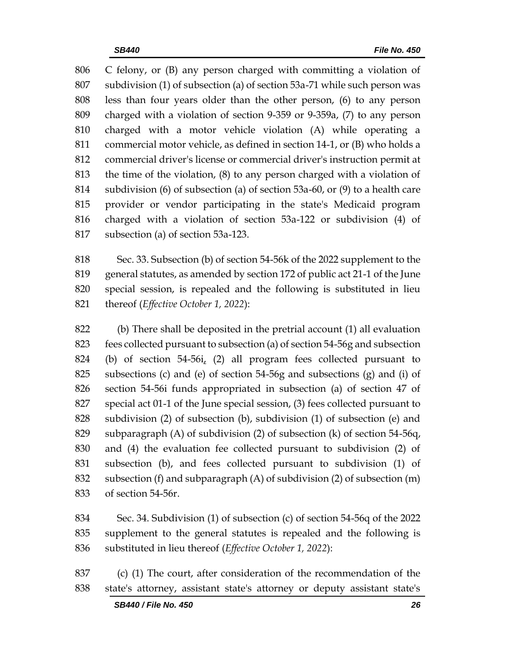C felony, or (B) any person charged with committing a violation of subdivision (1) of subsection (a) of section 53a-71 while such person was less than four years older than the other person, (6) to any person charged with a violation of section 9-359 or 9-359a, (7) to any person charged with a motor vehicle violation (A) while operating a commercial motor vehicle, as defined in section 14-1, or (B) who holds a commercial driver's license or commercial driver's instruction permit at the time of the violation, (8) to any person charged with a violation of subdivision (6) of subsection (a) of section 53a-60, or (9) to a health care provider or vendor participating in the state's Medicaid program charged with a violation of section 53a-122 or subdivision (4) of subsection (a) of section 53a-123.

 Sec. 33. Subsection (b) of section 54-56k of the 2022 supplement to the general statutes, as amended by section 172 of public act 21-1 of the June special session, is repealed and the following is substituted in lieu thereof (*Effective October 1, 2022*):

 (b) There shall be deposited in the pretrial account (1) all evaluation fees collected pursuant to subsection (a) of section 54-56g and subsection (b) of section 54-56i, (2) all program fees collected pursuant to subsections (c) and (e) of section 54-56g and subsections (g) and (i) of section 54-56i funds appropriated in subsection (a) of section 47 of special act 01-1 of the June special session, (3) fees collected pursuant to subdivision (2) of subsection (b), subdivision (1) of subsection (e) and subparagraph (A) of subdivision (2) of subsection (k) of section 54-56q, and (4) the evaluation fee collected pursuant to subdivision (2) of subsection (b), and fees collected pursuant to subdivision (1) of subsection (f) and subparagraph (A) of subdivision (2) of subsection (m) of section 54-56r.

 Sec. 34. Subdivision (1) of subsection (c) of section 54-56q of the 2022 supplement to the general statutes is repealed and the following is substituted in lieu thereof (*Effective October 1, 2022*):

 (c) (1) The court, after consideration of the recommendation of the state's attorney, assistant state's attorney or deputy assistant state's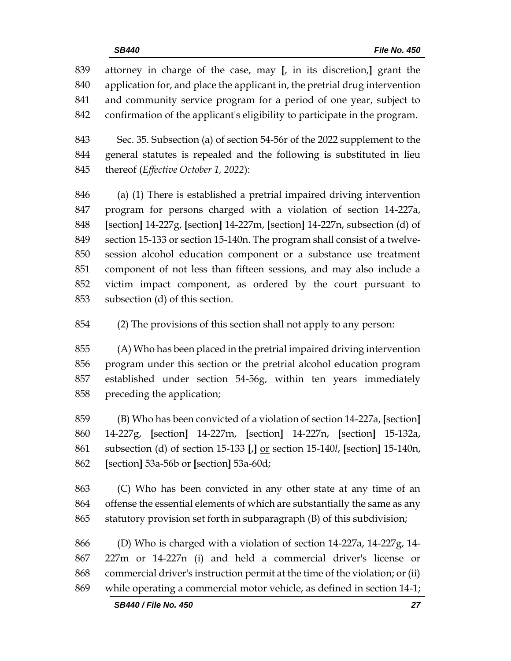| 839 | attorney in charge of the case, may [, in its discretion,] grant the        |
|-----|-----------------------------------------------------------------------------|
|     |                                                                             |
| 840 | application for, and place the applicant in, the pretrial drug intervention |
| 841 | and community service program for a period of one year, subject to          |
| 842 | confirmation of the applicant's eligibility to participate in the program.  |
| 843 | Sec. 35. Subsection (a) of section 54-56r of the 2022 supplement to the     |

 Sec. 35. Subsection (a) of section 54-56r of the 2022 supplement to the general statutes is repealed and the following is substituted in lieu thereof (*Effective October 1, 2022*):

 (a) (1) There is established a pretrial impaired driving intervention program for persons charged with a violation of section 14-227a, **[**section**]** 14-227g, **[**section**]** 14-227m, **[**section**]** 14-227n, subsection (d) of section 15-133 or section 15-140n. The program shall consist of a twelve- session alcohol education component or a substance use treatment component of not less than fifteen sessions, and may also include a victim impact component, as ordered by the court pursuant to subsection (d) of this section.

(2) The provisions of this section shall not apply to any person:

 (A) Who has been placed in the pretrial impaired driving intervention program under this section or the pretrial alcohol education program established under section 54-56g, within ten years immediately preceding the application;

 (B) Who has been convicted of a violation of section 14-227a, **[**section**]** 14-227g, **[**section**]** 14-227m, **[**section**]** 14-227n, **[**section**]** 15-132a, subsection (d) of section 15-133 **[**,**]** or section 15-140*l*, **[**section**]** 15-140n, **[**section**]** 53a-56b or **[**section**]** 53a-60d;

 (C) Who has been convicted in any other state at any time of an offense the essential elements of which are substantially the same as any statutory provision set forth in subparagraph (B) of this subdivision;

 (D) Who is charged with a violation of section 14-227a, 14-227g, 14- 227m or 14-227n (i) and held a commercial driver's license or commercial driver's instruction permit at the time of the violation; or (ii) while operating a commercial motor vehicle, as defined in section 14-1;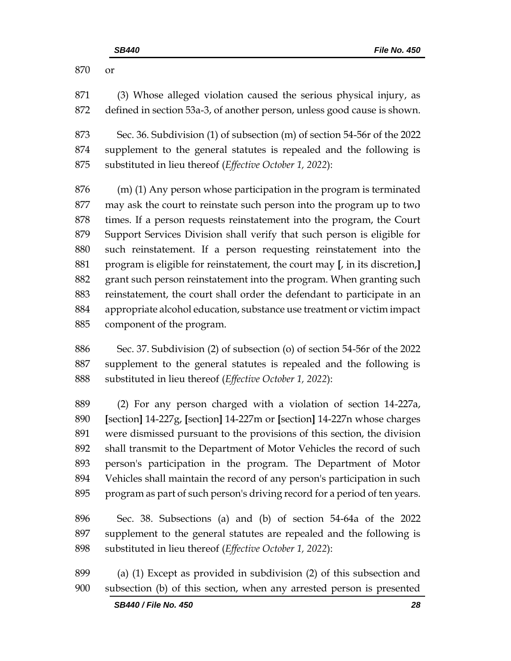or

 (3) Whose alleged violation caused the serious physical injury, as defined in section 53a-3, of another person, unless good cause is shown.

 Sec. 36. Subdivision (1) of subsection (m) of section 54-56r of the 2022 supplement to the general statutes is repealed and the following is substituted in lieu thereof (*Effective October 1, 2022*):

 (m) (1) Any person whose participation in the program is terminated may ask the court to reinstate such person into the program up to two times. If a person requests reinstatement into the program, the Court Support Services Division shall verify that such person is eligible for such reinstatement. If a person requesting reinstatement into the program is eligible for reinstatement, the court may **[**, in its discretion,**]** grant such person reinstatement into the program. When granting such reinstatement, the court shall order the defendant to participate in an appropriate alcohol education, substance use treatment or victim impact component of the program.

 Sec. 37. Subdivision (2) of subsection (o) of section 54-56r of the 2022 supplement to the general statutes is repealed and the following is substituted in lieu thereof (*Effective October 1, 2022*):

 (2) For any person charged with a violation of section 14-227a, **[**section**]** 14-227g, **[**section**]** 14-227m or **[**section**]** 14-227n whose charges were dismissed pursuant to the provisions of this section, the division shall transmit to the Department of Motor Vehicles the record of such person's participation in the program. The Department of Motor Vehicles shall maintain the record of any person's participation in such program as part of such person's driving record for a period of ten years.

 Sec. 38. Subsections (a) and (b) of section 54-64a of the 2022 supplement to the general statutes are repealed and the following is substituted in lieu thereof (*Effective October 1, 2022*):

 (a) (1) Except as provided in subdivision (2) of this subsection and subsection (b) of this section, when any arrested person is presented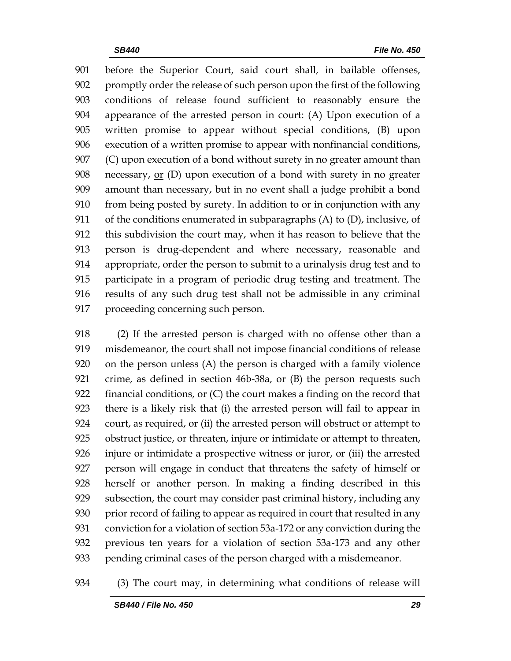before the Superior Court, said court shall, in bailable offenses, promptly order the release of such person upon the first of the following conditions of release found sufficient to reasonably ensure the appearance of the arrested person in court: (A) Upon execution of a written promise to appear without special conditions, (B) upon execution of a written promise to appear with nonfinancial conditions, (C) upon execution of a bond without surety in no greater amount than necessary, or (D) upon execution of a bond with surety in no greater amount than necessary, but in no event shall a judge prohibit a bond from being posted by surety. In addition to or in conjunction with any of the conditions enumerated in subparagraphs (A) to (D), inclusive, of this subdivision the court may, when it has reason to believe that the person is drug-dependent and where necessary, reasonable and appropriate, order the person to submit to a urinalysis drug test and to participate in a program of periodic drug testing and treatment. The results of any such drug test shall not be admissible in any criminal proceeding concerning such person.

 (2) If the arrested person is charged with no offense other than a misdemeanor, the court shall not impose financial conditions of release on the person unless (A) the person is charged with a family violence crime, as defined in section 46b-38a, or (B) the person requests such financial conditions, or (C) the court makes a finding on the record that there is a likely risk that (i) the arrested person will fail to appear in court, as required, or (ii) the arrested person will obstruct or attempt to obstruct justice, or threaten, injure or intimidate or attempt to threaten, injure or intimidate a prospective witness or juror, or (iii) the arrested person will engage in conduct that threatens the safety of himself or herself or another person. In making a finding described in this subsection, the court may consider past criminal history, including any 930 prior record of failing to appear as required in court that resulted in any conviction for a violation of section 53a-172 or any conviction during the previous ten years for a violation of section 53a-173 and any other pending criminal cases of the person charged with a misdemeanor.

#### (3) The court may, in determining what conditions of release will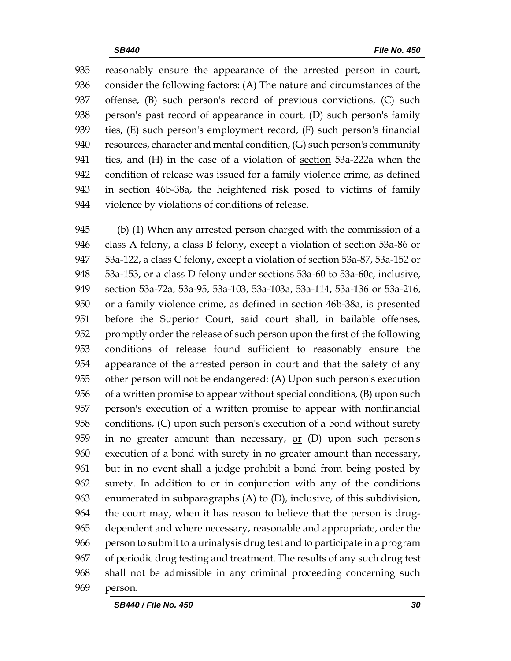reasonably ensure the appearance of the arrested person in court, consider the following factors: (A) The nature and circumstances of the offense, (B) such person's record of previous convictions, (C) such person's past record of appearance in court, (D) such person's family ties, (E) such person's employment record, (F) such person's financial resources, character and mental condition, (G) such person's community ties, and (H) in the case of a violation of section 53a-222a when the condition of release was issued for a family violence crime, as defined in section 46b-38a, the heightened risk posed to victims of family violence by violations of conditions of release.

 (b) (1) When any arrested person charged with the commission of a class A felony, a class B felony, except a violation of section 53a-86 or 53a-122, a class C felony, except a violation of section 53a-87, 53a-152 or 53a-153, or a class D felony under sections 53a-60 to 53a-60c, inclusive, section 53a-72a, 53a-95, 53a-103, 53a-103a, 53a-114, 53a-136 or 53a-216, or a family violence crime, as defined in section 46b-38a, is presented before the Superior Court, said court shall, in bailable offenses, promptly order the release of such person upon the first of the following conditions of release found sufficient to reasonably ensure the appearance of the arrested person in court and that the safety of any other person will not be endangered: (A) Upon such person's execution of a written promise to appear without special conditions, (B) upon such person's execution of a written promise to appear with nonfinancial conditions, (C) upon such person's execution of a bond without surety 959 in no greater amount than necessary,  $or$  (D) upon such person's execution of a bond with surety in no greater amount than necessary, but in no event shall a judge prohibit a bond from being posted by surety. In addition to or in conjunction with any of the conditions enumerated in subparagraphs (A) to (D), inclusive, of this subdivision, the court may, when it has reason to believe that the person is drug- dependent and where necessary, reasonable and appropriate, order the person to submit to a urinalysis drug test and to participate in a program of periodic drug testing and treatment. The results of any such drug test shall not be admissible in any criminal proceeding concerning such person.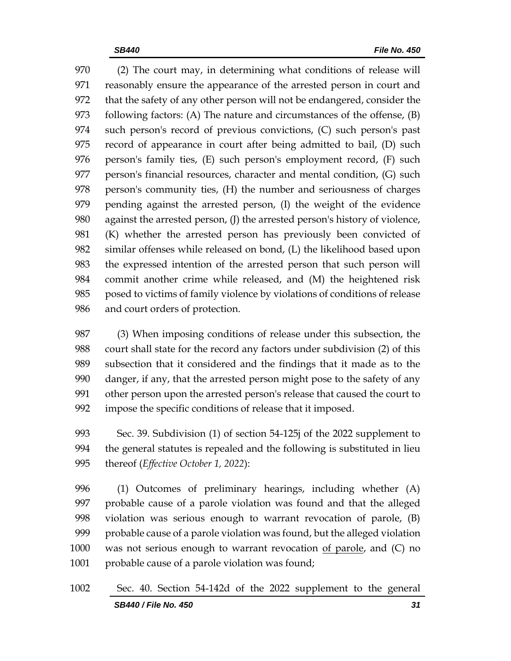(2) The court may, in determining what conditions of release will reasonably ensure the appearance of the arrested person in court and that the safety of any other person will not be endangered, consider the following factors: (A) The nature and circumstances of the offense, (B) such person's record of previous convictions, (C) such person's past record of appearance in court after being admitted to bail, (D) such person's family ties, (E) such person's employment record, (F) such 977 person's financial resources, character and mental condition, (G) such person's community ties, (H) the number and seriousness of charges pending against the arrested person, (I) the weight of the evidence against the arrested person, (J) the arrested person's history of violence, (K) whether the arrested person has previously been convicted of similar offenses while released on bond, (L) the likelihood based upon the expressed intention of the arrested person that such person will commit another crime while released, and (M) the heightened risk posed to victims of family violence by violations of conditions of release and court orders of protection.

 (3) When imposing conditions of release under this subsection, the court shall state for the record any factors under subdivision (2) of this subsection that it considered and the findings that it made as to the danger, if any, that the arrested person might pose to the safety of any other person upon the arrested person's release that caused the court to impose the specific conditions of release that it imposed.

 Sec. 39. Subdivision (1) of section 54-125j of the 2022 supplement to the general statutes is repealed and the following is substituted in lieu thereof (*Effective October 1, 2022*):

 (1) Outcomes of preliminary hearings, including whether (A) probable cause of a parole violation was found and that the alleged violation was serious enough to warrant revocation of parole, (B) probable cause of a parole violation was found, but the alleged violation was not serious enough to warrant revocation of parole, and (C) no 1001 probable cause of a parole violation was found;

*SB440 / File No. 450 31* Sec. 40. Section 54-142d of the 2022 supplement to the general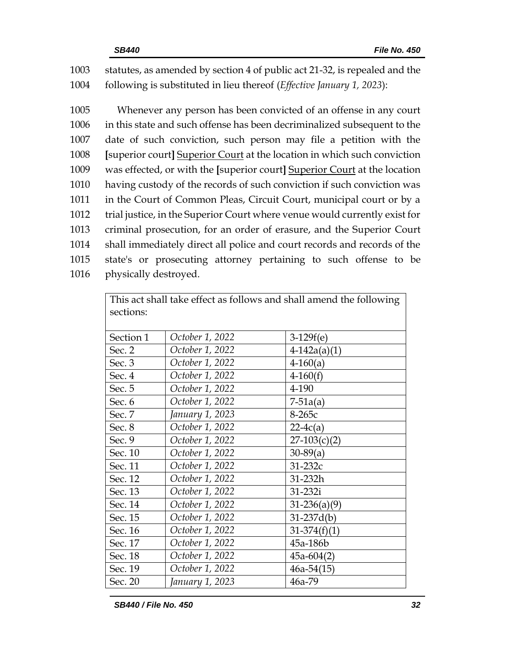1003 statutes, as amended by section 4 of public act 21-32, is repealed and the 1004 following is substituted in lieu thereof (*Effective January 1, 2023*):

 Whenever any person has been convicted of an offense in any court in this state and such offense has been decriminalized subsequent to the date of such conviction, such person may file a petition with the **[**superior court**]** Superior Court at the location in which such conviction was effected, or with the **[**superior court**]** Superior Court at the location having custody of the records of such conviction if such conviction was 1011 in the Court of Common Pleas, Circuit Court, municipal court or by a trial justice, in the Superior Court where venue would currently exist for criminal prosecution, for an order of erasure, and the Superior Court shall immediately direct all police and court records and records of the state's or prosecuting attorney pertaining to such offense to be physically destroyed.

> This act shall take effect as follows and shall amend the following sections: Section 1 *October 1, 2022* 3-129f(e) Sec. 2 *October 1, 2022* 4-142a(a)(1) Sec. 3 *October 1, 2022* 4-160(a) Sec. 4 *October 1, 2022* 4-160(f) Sec. 5 *October 1, 2022* 4-190 Sec. 6 *October 1, 2022* 7-51a(a) Sec. 7 *January 1, 2023* 8-265c Sec. 8 *October 1, 2022* 22-4c(a) Sec. 9 *October 1, 2022* 27-103(c)(2) Sec. 10 *October 1, 2022* 30-89(a) Sec. 11 *October 1, 2022* 31-232c Sec. 12 *October 1, 2022* 31-232h Sec. 13 *October 1, 2022* 31-232i Sec. 14 *October 1, 2022* 31-236(a)(9) Sec. 15 *October 1, 2022* 31-237d(b) Sec. 16 *October 1, 2022* 31-374(f)(1) Sec. 17 *October 1, 2022* 45a-186b Sec. 18 *October 1, 2022* 45a-604(2) Sec. 19 *October 1, 2022* 46a-54(15) Sec. 20 *January 1, 2023* 46a-79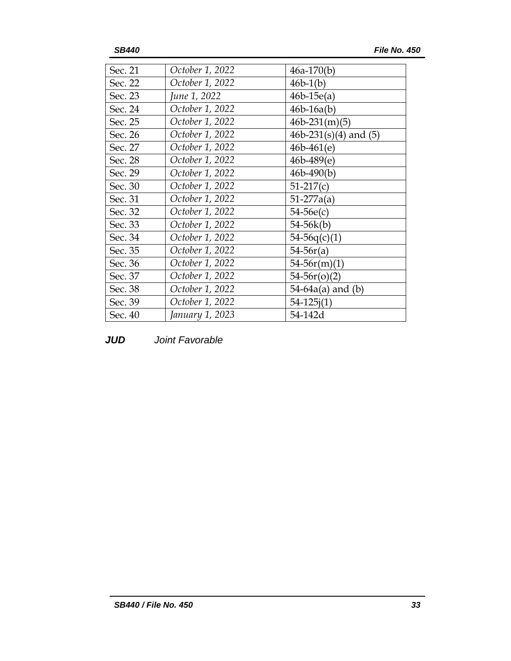| October 1, 2022 | $46a-170(b)$            |
|-----------------|-------------------------|
| October 1, 2022 | $46b-1(b)$              |
| June 1, 2022    | $46b-15e(a)$            |
| October 1, 2022 | $46b - 16a(b)$          |
| October 1, 2022 | $46b-231(m)(5)$         |
| October 1, 2022 | 46b-231(s)(4) and $(5)$ |
| October 1, 2022 | $46b - 461(e)$          |
| October 1, 2022 | $46b - 489(e)$          |
| October 1, 2022 | $46b - 490(b)$          |
| October 1, 2022 | $51-217(c)$             |
| October 1, 2022 | $51-277a(a)$            |
| October 1, 2022 | $54-56e(c)$             |
| October 1, 2022 | 54-56k(b)               |
| October 1, 2022 | $54-56q(c)(1)$          |
| October 1, 2022 | $54-56r(a)$             |
| October 1, 2022 | $54-56r(m)(1)$          |
| October 1, 2022 | $54-56r(0)(2)$          |
| October 1, 2022 | $54-64a(a)$ and (b)     |
| October 1, 2022 | $54 - 125i(1)$          |
| January 1, 2023 | 54-142d                 |
|                 |                         |

*JUD Joint Favorable*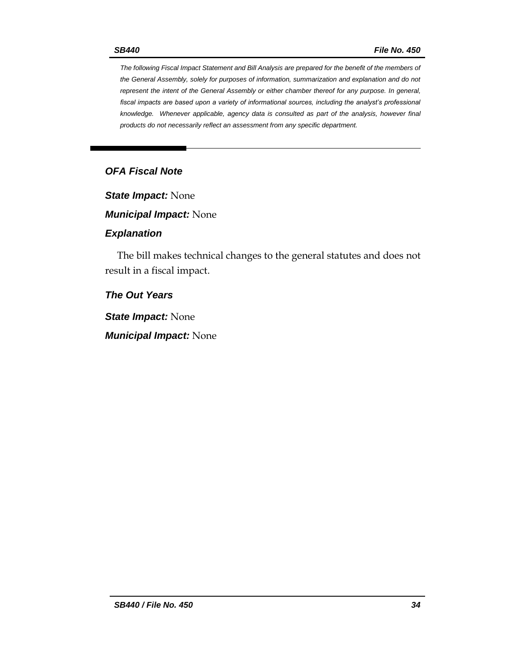*The following Fiscal Impact Statement and Bill Analysis are prepared for the benefit of the members of the General Assembly, solely for purposes of information, summarization and explanation and do not represent the intent of the General Assembly or either chamber thereof for any purpose. In general, fiscal impacts are based upon a variety of informational sources, including the analyst's professional knowledge. Whenever applicable, agency data is consulted as part of the analysis, however final products do not necessarily reflect an assessment from any specific department.*

# *OFA Fiscal Note*

*State Impact:* None

*Municipal Impact:* None

#### *Explanation*

The bill makes technical changes to the general statutes and does not result in a fiscal impact.

## *The Out Years*

*State Impact:* None

*Municipal Impact:* None